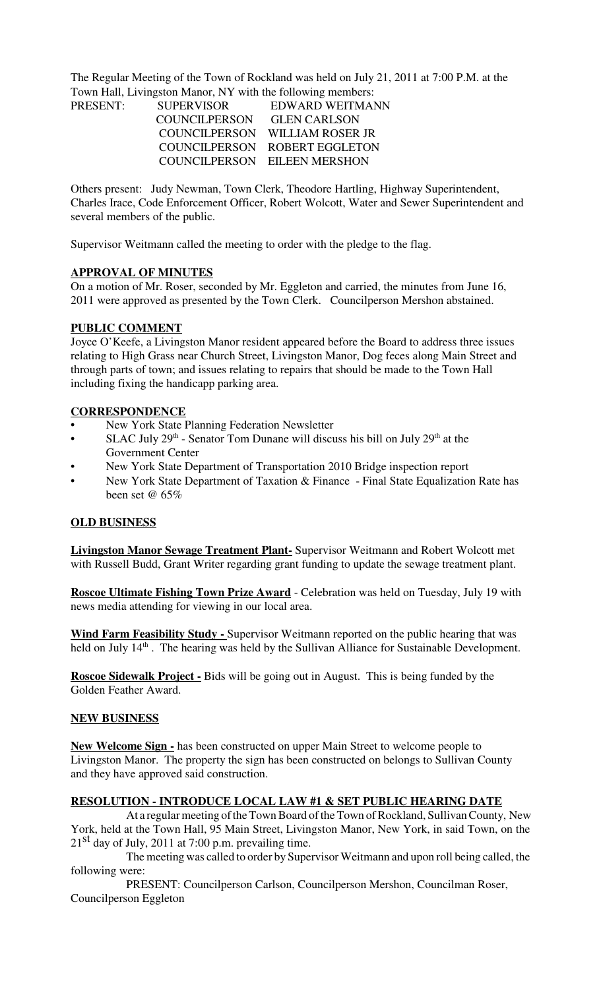The Regular Meeting of the Town of Rockland was held on July 21, 2011 at 7:00 P.M. at the Town Hall, Livingston Manor, NY with the following members:

| PRESENT: | <b>SUPERVISOR</b> | EDWARD WEITMANN                |
|----------|-------------------|--------------------------------|
|          | COUNCILPERSON     | <b>GLEN CARLSON</b>            |
|          |                   | COUNCILPERSON WILLIAM ROSER JR |
|          |                   | COUNCILPERSON ROBERT EGGLETON  |
|          |                   | COUNCILPERSON EILEEN MERSHON   |

Others present: Judy Newman, Town Clerk, Theodore Hartling, Highway Superintendent, Charles Irace, Code Enforcement Officer, Robert Wolcott, Water and Sewer Superintendent and several members of the public.

Supervisor Weitmann called the meeting to order with the pledge to the flag.

### **APPROVAL OF MINUTES**

On a motion of Mr. Roser, seconded by Mr. Eggleton and carried, the minutes from June 16, 2011 were approved as presented by the Town Clerk. Councilperson Mershon abstained.

### **PUBLIC COMMENT**

Joyce O'Keefe, a Livingston Manor resident appeared before the Board to address three issues relating to High Grass near Church Street, Livingston Manor, Dog feces along Main Street and through parts of town; and issues relating to repairs that should be made to the Town Hall including fixing the handicapp parking area.

#### **CORRESPONDENCE**

- New York State Planning Federation Newsletter
- SLAC July  $29<sup>th</sup>$  Senator Tom Dunane will discuss his bill on July  $29<sup>th</sup>$  at the Government Center
- New York State Department of Transportation 2010 Bridge inspection report
- New York State Department of Taxation & Finance Final State Equalization Rate has been set @ 65%

### **OLD BUSINESS**

**Livingston Manor Sewage Treatment Plant-** Supervisor Weitmann and Robert Wolcott met with Russell Budd, Grant Writer regarding grant funding to update the sewage treatment plant.

**Roscoe Ultimate Fishing Town Prize Award** - Celebration was held on Tuesday, July 19 with news media attending for viewing in our local area.

**Wind Farm Feasibility Study -** Supervisor Weitmann reported on the public hearing that was held on July 14<sup>th</sup>. The hearing was held by the Sullivan Alliance for Sustainable Development.

**Roscoe Sidewalk Project -** Bids will be going out in August. This is being funded by the Golden Feather Award.

### **NEW BUSINESS**

**New Welcome Sign -** has been constructed on upper Main Street to welcome people to Livingston Manor. The property the sign has been constructed on belongs to Sullivan County and they have approved said construction.

### **RESOLUTION - INTRODUCE LOCAL LAW #1 & SET PUBLIC HEARING DATE**

 At a regular meeting of the Town Board of the Town of Rockland, Sullivan County, New York, held at the Town Hall, 95 Main Street, Livingston Manor, New York, in said Town, on the  $21<sup>st</sup>$  day of July, 2011 at 7:00 p.m. prevailing time.

The meeting was called to order by Supervisor Weitmann and upon roll being called, the following were:

PRESENT: Councilperson Carlson, Councilperson Mershon, Councilman Roser, Councilperson Eggleton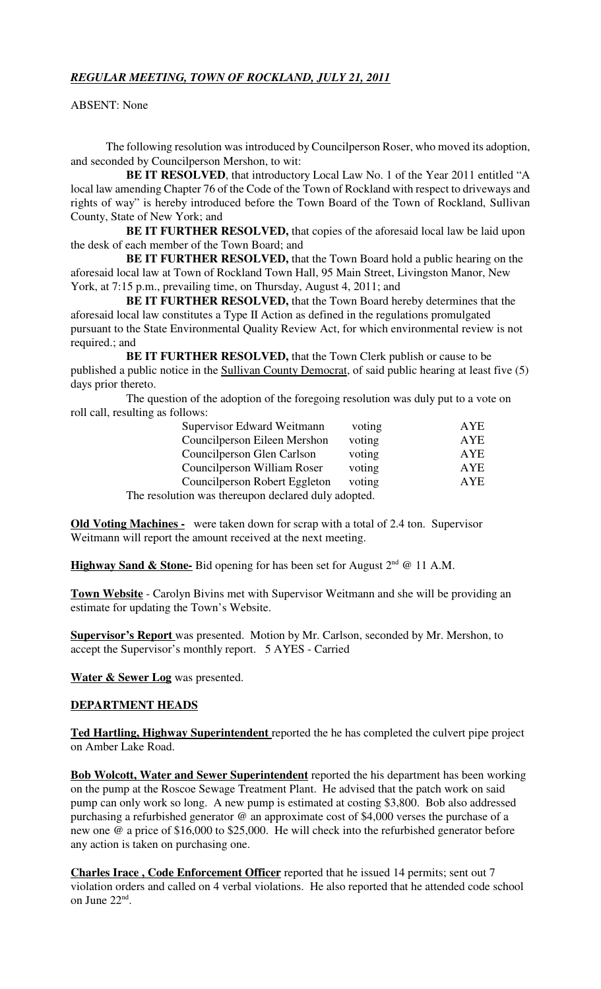# *REGULAR MEETING, TOWN OF ROCKLAND, JULY 21, 2011*

ABSENT: None

The following resolution was introduced by Councilperson Roser, who moved its adoption, and seconded by Councilperson Mershon, to wit:

**BE IT RESOLVED**, that introductory Local Law No. 1 of the Year 2011 entitled "A local law amending Chapter 76 of the Code of the Town of Rockland with respect to driveways and rights of way" is hereby introduced before the Town Board of the Town of Rockland, Sullivan County, State of New York; and

**BE IT FURTHER RESOLVED,** that copies of the aforesaid local law be laid upon the desk of each member of the Town Board; and

**BE IT FURTHER RESOLVED,** that the Town Board hold a public hearing on the aforesaid local law at Town of Rockland Town Hall, 95 Main Street, Livingston Manor, New York, at 7:15 p.m., prevailing time, on Thursday, August 4, 2011; and

**BE IT FURTHER RESOLVED,** that the Town Board hereby determines that the aforesaid local law constitutes a Type II Action as defined in the regulations promulgated pursuant to the State Environmental Quality Review Act, for which environmental review is not required.; and

**BE IT FURTHER RESOLVED,** that the Town Clerk publish or cause to be published a public notice in the Sullivan County Democrat, of said public hearing at least five (5) days prior thereto.

The question of the adoption of the foregoing resolution was duly put to a vote on roll call, resulting as follows:

| Supervisor Edward Weitmann                          | voting | AYE        |  |  |
|-----------------------------------------------------|--------|------------|--|--|
| Councilperson Eileen Mershon                        | voting | <b>AYE</b> |  |  |
| Councilperson Glen Carlson                          | voting | AYE        |  |  |
| Councilperson William Roser                         | voting | AYE        |  |  |
| Councilperson Robert Eggleton                       | voting | AYE        |  |  |
| The resolution was thereupon declared duly adopted. |        |            |  |  |

**Old Voting Machines -** were taken down for scrap with a total of 2.4 ton. Supervisor Weitmann will report the amount received at the next meeting.

Highway Sand & Stone- Bid opening for has been set for August 2<sup>nd</sup> @ 11 A.M.

**Town Website** - Carolyn Bivins met with Supervisor Weitmann and she will be providing an estimate for updating the Town's Website.

**Supervisor's Report** was presented. Motion by Mr. Carlson, seconded by Mr. Mershon, to accept the Supervisor's monthly report. 5 AYES - Carried

**Water & Sewer Log** was presented.

### **DEPARTMENT HEADS**

**Ted Hartling, Highway Superintendent** reported the he has completed the culvert pipe project on Amber Lake Road.

**Bob Wolcott, Water and Sewer Superintendent** reported the his department has been working on the pump at the Roscoe Sewage Treatment Plant. He advised that the patch work on said pump can only work so long. A new pump is estimated at costing \$3,800. Bob also addressed purchasing a refurbished generator @ an approximate cost of \$4,000 verses the purchase of a new one @ a price of \$16,000 to \$25,000. He will check into the refurbished generator before any action is taken on purchasing one.

**Charles Irace , Code Enforcement Officer** reported that he issued 14 permits; sent out 7 violation orders and called on 4 verbal violations. He also reported that he attended code school on June 22<sup>nd</sup>.